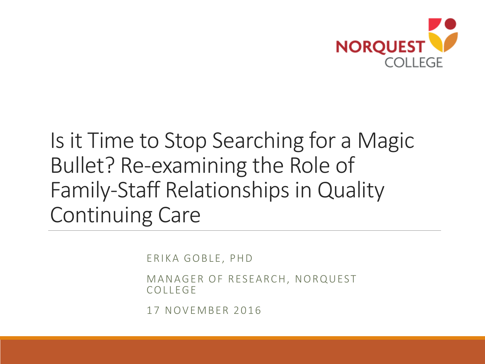

#### Is it Time to Stop Searching for a Magic Bullet? Re-examining the Role of Family-Staff Relationships in Quality Continuing Care

ERIKA GOBLE, PHD

MANAGER OF RESEARCH, NORQUEST **COLLEGE** 

17 NOVEMBER 2016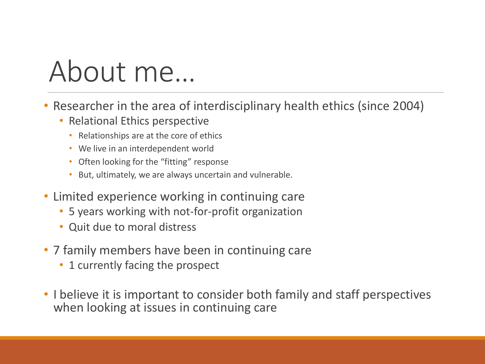# About me…

- Researcher in the area of interdisciplinary health ethics (since 2004)
	- Relational Ethics perspective
		- Relationships are at the core of ethics
		- We live in an interdependent world
		- Often looking for the "fitting" response
		- But, ultimately, we are always uncertain and vulnerable.
- Limited experience working in continuing care
	- 5 years working with not-for-profit organization
	- Quit due to moral distress
- 7 family members have been in continuing care
	- 1 currently facing the prospect
- I believe it is important to consider both family and staff perspectives when looking at issues in continuing care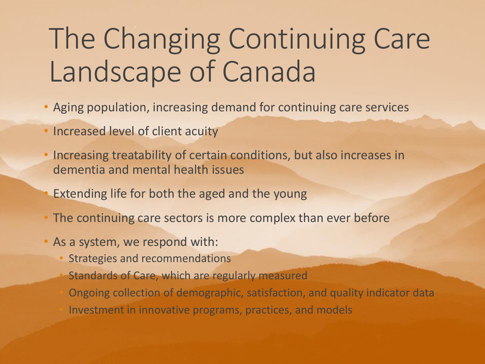## The Changing Continuing Care Landscape of Canada

- Aging population, increasing demand for continuing care services
- Increased level of client acuity
- Increasing treatability of certain conditions, but also increases in dementia and mental health issues
- Extending life for both the aged and the young
- The continuing care sectors is more complex than ever before
- As a system, we respond with:
	- Strategies and recommendations
	- Standards of Care, which are regularly measured

• Ongoing collection of demographic, satisfaction, and quality indicator data • Investment in innovative programs, practices, and models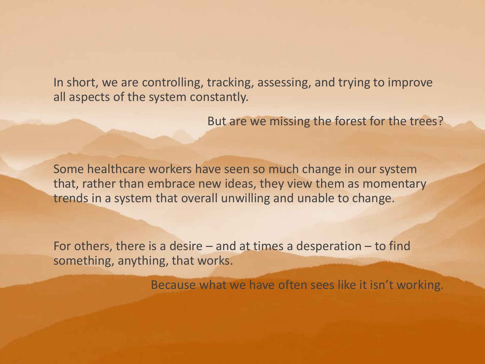In short, we are controlling, tracking, assessing, and trying to improve all aspects of the system constantly.

But are we missing the forest for the trees?

Some healthcare workers have seen so much change in our system that, rather than embrace new ideas, they view them as momentary trends in a system that overall unwilling and unable to change.

For others, there is a desire  $-$  and at times a desperation  $-$  to find something, anything, that works.

Because what we have often sees like it isn't working.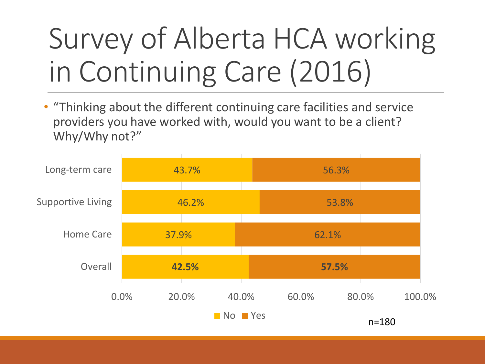# Survey of Alberta HCA working in Continuing Care (2016)

• "Thinking about the different continuing care facilities and service providers you have worked with, would you want to be a client? Why/Why not?"

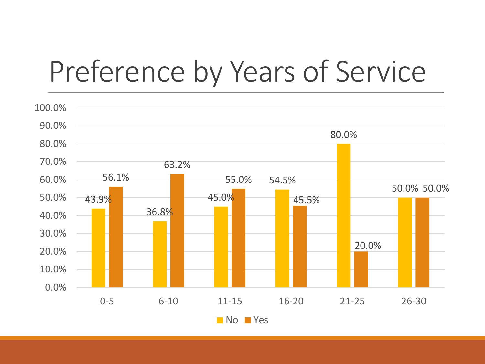### Preference by Years of Service

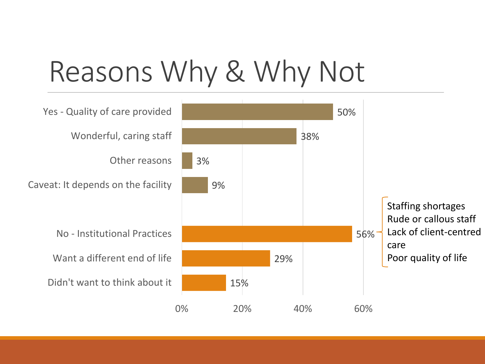## Reasons Why & Why Not

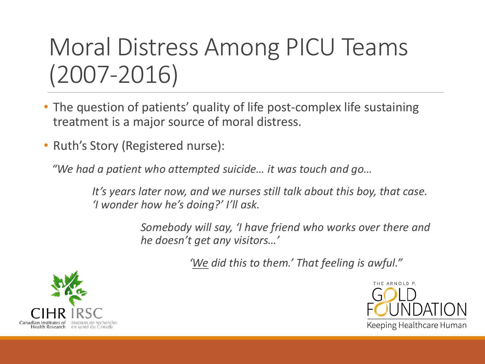### Moral Distress Among PICU Teams (2007-2016)

- The question of patients' quality of life post-complex life sustaining treatment is a major source of moral distress.
- Ruth's Story (Registered nurse):

*"We had a patient who attempted suicide… it was touch and go…*

*It's years later now, and we nurses still talk about this boy, that case. 'I wonder how he's doing?' I'll ask.*

> *Somebody will say, 'I have friend who works over there and he doesn't get any visitors…'*

> > *'We did this to them.' That feeling is awful."*



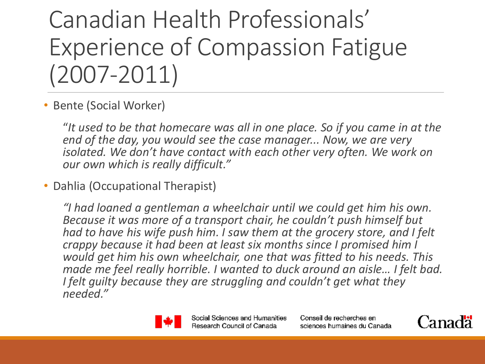Canadian Health Professionals' Experience of Compassion Fatigue (2007-2011)

• Bente (Social Worker)

"*It used to be that homecare was all in one place. So if you came in at the end of the day, you would see the case manager... Now, we are very isolated. We don't have contact with each other very often. We work on our own which is really difficult."* 

• Dahlia (Occupational Therapist)

*"I had loaned a gentleman a wheelchair until we could get him his own. Because it was more of a transport chair, he couldn't push himself but had to have his wife push him. I saw them at the grocery store, and I felt crappy because it had been at least six months since I promised him I would get him his own wheelchair, one that was fitted to his needs. This made me feel really horrible. I wanted to duck around an aisle… I felt bad. I felt guilty because they are struggling and couldn't get what they needed."* 



Social Sciences and Humanities Research Council of Canada

Conseil de recherches en sciences humaines du Canada

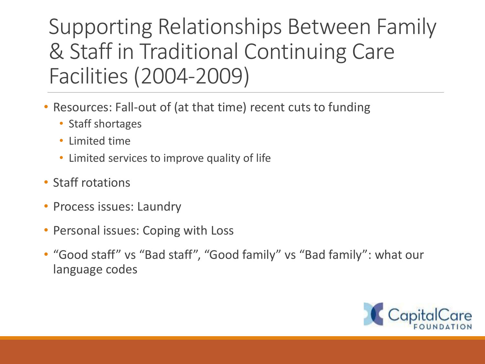#### Supporting Relationships Between Family & Staff in Traditional Continuing Care Facilities (2004-2009)

- Resources: Fall-out of (at that time) recent cuts to funding
	- Staff shortages
	- Limited time
	- Limited services to improve quality of life
- Staff rotations
- Process issues: Laundry
- Personal issues: Coping with Loss
- "Good staff" vs "Bad staff", "Good family" vs "Bad family": what our language codes

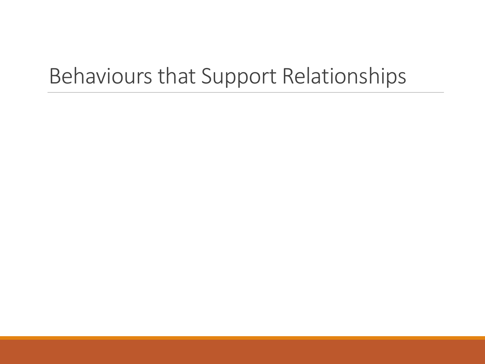#### Behaviours that Support Relationships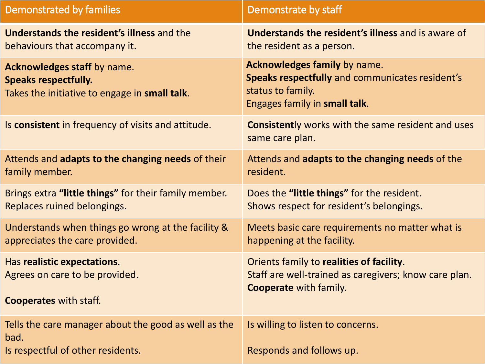| Demonstrated by families                                                                                    | Demonstrate by staff                                                                                                                  |
|-------------------------------------------------------------------------------------------------------------|---------------------------------------------------------------------------------------------------------------------------------------|
| <b>Understands the resident's illness and the</b>                                                           | Understands the resident's illness and is aware of                                                                                    |
| behaviours that accompany it.                                                                               | the resident as a person.                                                                                                             |
| Acknowledges staff by name.<br><b>Speaks respectfully.</b><br>Takes the initiative to engage in small talk. | Acknowledges family by name.<br>Speaks respectfully and communicates resident's<br>status to family.<br>Engages family in small talk. |
| Is consistent in frequency of visits and attitude.                                                          | <b>Consistently works with the same resident and uses</b><br>same care plan.                                                          |
| Attends and adapts to the changing needs of their                                                           | Attends and adapts to the changing needs of the                                                                                       |
| family member.                                                                                              | resident.                                                                                                                             |
| Brings extra "little things" for their family member.                                                       | Does the "little things" for the resident.                                                                                            |
| Replaces ruined belongings.                                                                                 | Shows respect for resident's belongings.                                                                                              |
| Understands when things go wrong at the facility &                                                          | Meets basic care requirements no matter what is                                                                                       |
| appreciates the care provided.                                                                              | happening at the facility.                                                                                                            |
| Has realistic expectations.                                                                                 | Orients family to realities of facility.                                                                                              |
| Agrees on care to be provided.                                                                              | Staff are well-trained as caregivers; know care plan.                                                                                 |
| <b>Cooperates with staff.</b>                                                                               | <b>Cooperate with family.</b>                                                                                                         |
| Tells the care manager about the good as well as the<br>bad.                                                | Is willing to listen to concerns.                                                                                                     |
| Is respectful of other residents.                                                                           | Responds and follows up.                                                                                                              |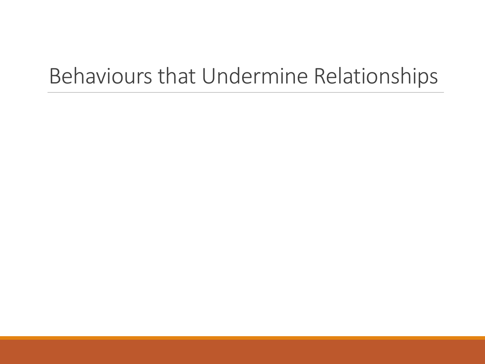#### Behaviours that Undermine Relationships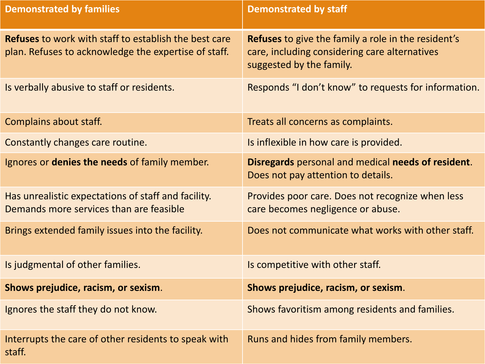| <b>Demonstrated by families</b>                                                                                      | <b>Demonstrated by staff</b>                                                                                                            |
|----------------------------------------------------------------------------------------------------------------------|-----------------------------------------------------------------------------------------------------------------------------------------|
| <b>Refuses</b> to work with staff to establish the best care<br>plan. Refuses to acknowledge the expertise of staff. | <b>Refuses</b> to give the family a role in the resident's<br>care, including considering care alternatives<br>suggested by the family. |
| Is verbally abusive to staff or residents.                                                                           | Responds "I don't know" to requests for information.                                                                                    |
| Complains about staff.                                                                                               | Treats all concerns as complaints.                                                                                                      |
| Constantly changes care routine.                                                                                     | Is inflexible in how care is provided.                                                                                                  |
| Ignores or <b>denies the needs</b> of family member.                                                                 | Disregards personal and medical needs of resident.<br>Does not pay attention to details.                                                |
| Has unrealistic expectations of staff and facility.<br>Demands more services than are feasible                       | Provides poor care. Does not recognize when less<br>care becomes negligence or abuse.                                                   |
| Brings extended family issues into the facility.                                                                     | Does not communicate what works with other staff.                                                                                       |
| Is judgmental of other families.                                                                                     | Is competitive with other staff.                                                                                                        |
| Shows prejudice, racism, or sexism.                                                                                  | Shows prejudice, racism, or sexism.                                                                                                     |
| Ignores the staff they do not know.                                                                                  | Shows favoritism among residents and families.                                                                                          |
| Interrupts the care of other residents to speak with<br>staff.                                                       | Runs and hides from family members.                                                                                                     |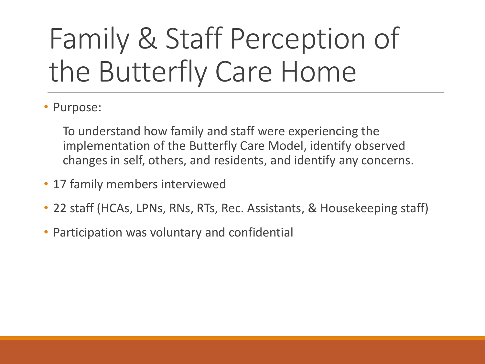# Family & Staff Perception of the Butterfly Care Home

• Purpose:

To understand how family and staff were experiencing the implementation of the Butterfly Care Model, identify observed changes in self, others, and residents, and identify any concerns.

- 17 family members interviewed
- 22 staff (HCAs, LPNs, RNs, RTs, Rec. Assistants, & Housekeeping staff)
- Participation was voluntary and confidential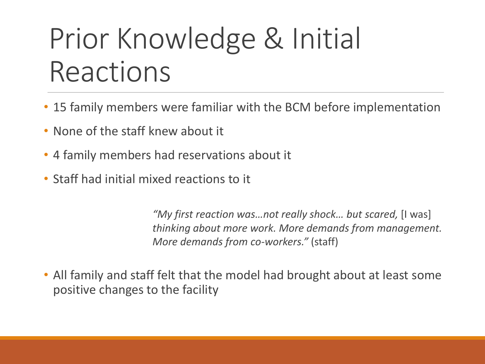# Prior Knowledge & Initial Reactions

- 15 family members were familiar with the BCM before implementation
- None of the staff knew about it
- 4 family members had reservations about it
- Staff had initial mixed reactions to it

*"My first reaction was…not really shock… but scared,* [I was] *thinking about more work. More demands from management. More demands from co-workers."* (staff)

• All family and staff felt that the model had brought about at least some positive changes to the facility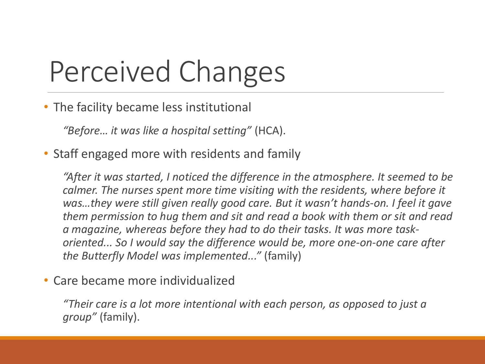# Perceived Changes

• The facility became less institutional

*"Before… it was like a hospital setting"* (HCA).

• Staff engaged more with residents and family

*"After it was started, I noticed the difference in the atmosphere. It seemed to be calmer. The nurses spent more time visiting with the residents, where before it was...they were still given really good care. But it wasn't hands-on. I feel it gave them permission to hug them and sit and read a book with them or sit and read a magazine, whereas before they had to do their tasks. It was more taskoriented... So I would say the difference would be, more one-on-one care after the Butterfly Model was implemented..."* (family)

#### • Care became more individualized

*"Their care is a lot more intentional with each person, as opposed to just a group"* (family).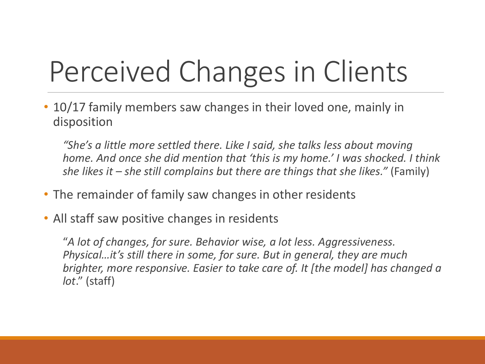# Perceived Changes in Clients

• 10/17 family members saw changes in their loved one, mainly in disposition

*"She's a little more settled there. Like I said, she talks less about moving home. And once she did mention that 'this is my home.' I was shocked. I think she likes it – she still complains but there are things that she likes."* (Family)

- The remainder of family saw changes in other residents
- All staff saw positive changes in residents

"*A lot of changes, for sure. Behavior wise, a lot less. Aggressiveness. Physical…it's still there in some, for sure. But in general, they are much brighter, more responsive. Easier to take care of. It [the model] has changed a lot*." (staff)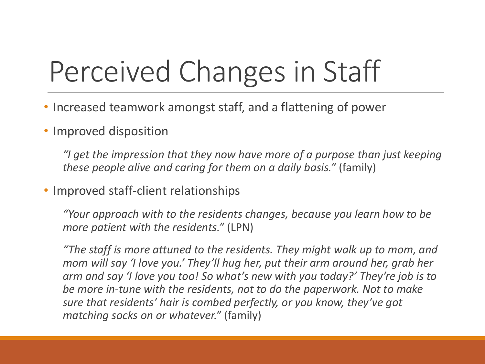# Perceived Changes in Staff

- Increased teamwork amongst staff, and a flattening of power
- Improved disposition

*"I get the impression that they now have more of a purpose than just keeping these people alive and caring for them on a daily basis."* (family)

• Improved staff-client relationships

*"Your approach with to the residents changes, because you learn how to be more patient with the residents."* (LPN)

*"The staff is more attuned to the residents. They might walk up to mom, and mom will say 'I love you.' They'll hug her, put their arm around her, grab her arm and say 'I love you too! So what's new with you today?' They're job is to be more in-tune with the residents, not to do the paperwork. Not to make sure that residents' hair is combed perfectly, or you know, they've got matching socks on or whatever."* (family)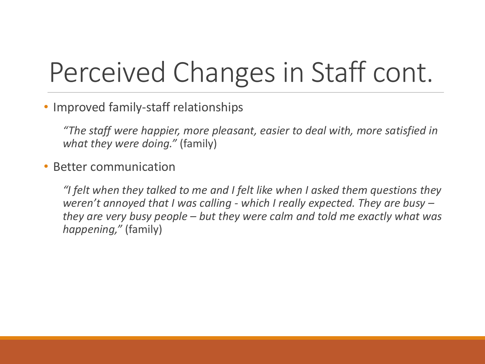## Perceived Changes in Staff cont.

• Improved family-staff relationships

*"The staff were happier, more pleasant, easier to deal with, more satisfied in what they were doing."* (family)

#### • Better communication

*"I felt when they talked to me and I felt like when I asked them questions they weren't annoyed that I was calling - which I really expected. They are busy – they are very busy people – but they were calm and told me exactly what was happening,"* (family)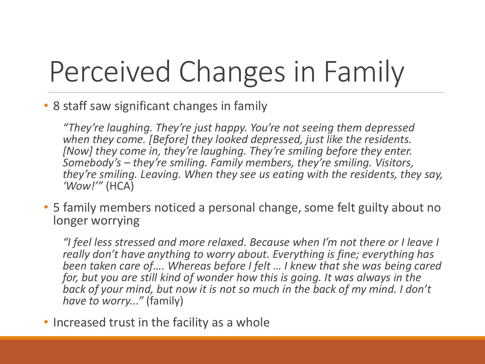# Perceived Changes in Family

#### • 8 staff saw significant changes in family

*"They're laughing. They're just happy. You're not seeing them depressed when they come. [Before] they looked depressed, just like the residents. [Now] they come in, they're laughing. They're smiling before they enter. Somebody's – they're smiling. Family members, they're smiling. Visitors, they're smiling. Leaving. When they see us eating with the residents, they say, 'Wow!'"* (HCA)

• 5 family members noticed a personal change, some felt guilty about no longer worrying

"I feel less stressed and more relaxed. Because when I'm not there or I leave I *really don't have anything to worry about. Everything is fine; everything has been taken care of…. Whereas before I felt … I knew that she was being cared for, but you are still kind of wonder how this is going. It was always in the back of your mind, but now it is not so much in the back of my mind. I don't have to worry..."* (family)

• Increased trust in the facility as a whole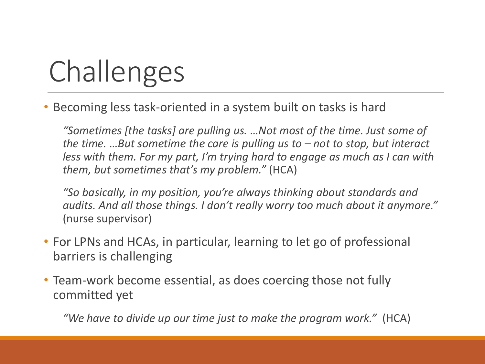# Challenges

• Becoming less task-oriented in a system built on tasks is hard

*"Sometimes [the tasks] are pulling us. …Not most of the time. Just some of the time. …But sometime the care is pulling us to – not to stop, but interact less with them. For my part, I'm trying hard to engage as much as I can with them, but sometimes that's my problem."* (HCA)

*"So basically, in my position, you're always thinking about standards and audits. And all those things. I don't really worry too much about it anymore."*  (nurse supervisor)

- For LPNs and HCAs, in particular, learning to let go of professional barriers is challenging
- Team-work become essential, as does coercing those not fully committed yet

*"We have to divide up our time just to make the program work."* (HCA)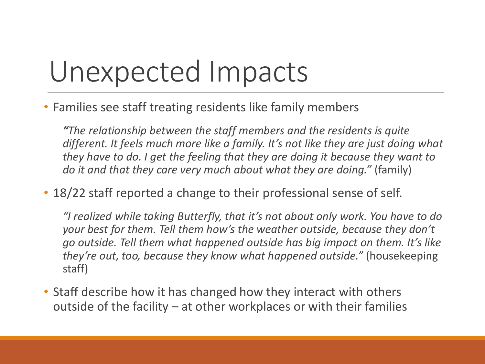## Unexpected Impacts

• Families see staff treating residents like family members

*"The relationship between the staff members and the residents is quite different. It feels much more like a family. It's not like they are just doing what they have to do. I get the feeling that they are doing it because they want to do it and that they care very much about what they are doing."* (family)

• 18/22 staff reported a change to their professional sense of self.

*"I realized while taking Butterfly, that it's not about only work. You have to do your best for them. Tell them how's the weather outside, because they don't go outside. Tell them what happened outside has big impact on them. It's like they're out, too, because they know what happened outside."* (housekeeping staff)

• Staff describe how it has changed how they interact with others outside of the facility – at other workplaces or with their families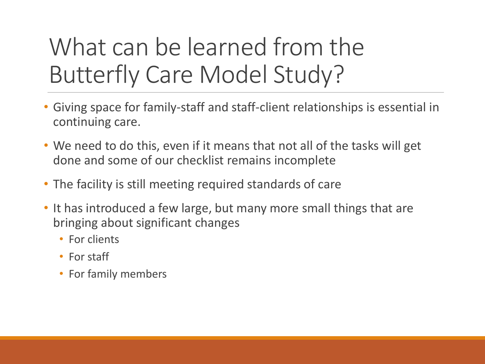### What can be learned from the Butterfly Care Model Study?

- Giving space for family-staff and staff-client relationships is essential in continuing care.
- We need to do this, even if it means that not all of the tasks will get done and some of our checklist remains incomplete
- The facility is still meeting required standards of care
- It has introduced a few large, but many more small things that are bringing about significant changes
	- For clients
	- For staff
	- For family members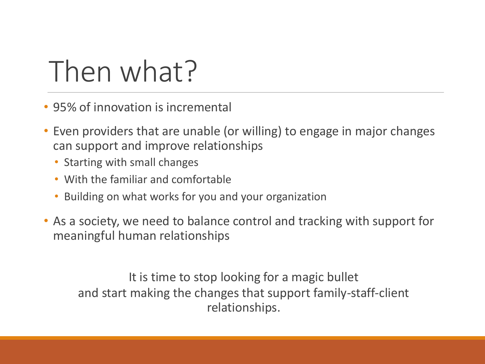# Then what?

- 95% of innovation is incremental
- Even providers that are unable (or willing) to engage in major changes can support and improve relationships
	- Starting with small changes
	- With the familiar and comfortable
	- Building on what works for you and your organization
- As a society, we need to balance control and tracking with support for meaningful human relationships

It is time to stop looking for a magic bullet and start making the changes that support family-staff-client relationships.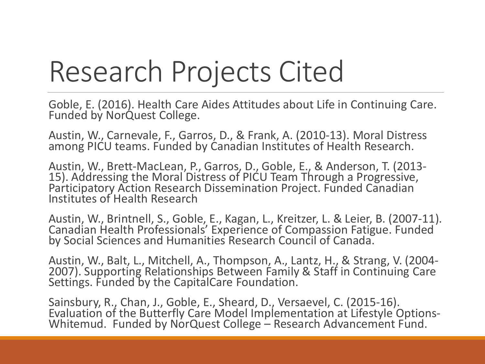# Research Projects Cited

Goble, E. (2016). Health Care Aides Attitudes about Life in Continuing Care. Funded by NorQuest College.

Austin, W., Carnevale, F., Garros, D., & Frank, A. (2010-13). Moral Distress among PICU teams. Funded by Canadian Institutes of Health Research.

Austin, W., Brett-MacLean, P., Garros, D., Goble, E., & Anderson, T. (2013- 15). Addressing the Moral Distress of PICU Team Through a Progressive, Participatory Action Research Dissemination Project. Funded Canadian Institutes of Health Research

Austin, W., Brintnell, S., Goble, E., Kagan, L., Kreitzer, L. & Leier, B. (2007-11). Canadian Health Professionals' Experience of Compassion Fatigue. Funded by Social Sciences and Humanities Research Council of Canada.

Austin, W., Balt, L., Mitchell, A., Thompson, A., Lantz, H., & Strang, V. (2004- 2007). Supporting Relationships Between Family & Staff in Continuing Care Settings. Funded by the CapitalCare Foundation.

Sainsbury, R., Chan, J., Goble, E., Sheard, D., Versaevel, C. (2015-16). Evaluation of the Butterfly Care Model Implementation at Lifestyle Options-Whitemud. Funded by NorQuest College – Research Advancement Fund.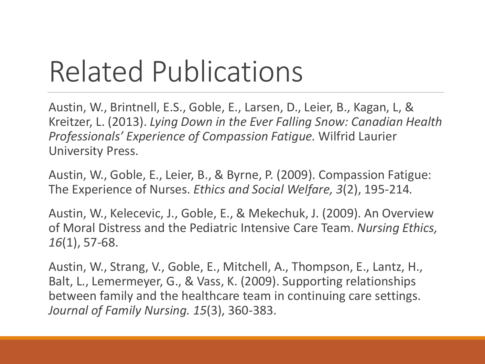# Related Publications

Austin, W., Brintnell, E.S., Goble, E., Larsen, D., Leier, B., Kagan, L, & Kreitzer, L. (2013). *Lying Down in the Ever Falling Snow: Canadian Health Professionals' Experience of Compassion Fatigue.* Wilfrid Laurier University Press.

Austin, W., Goble, E., Leier, B., & Byrne, P. (2009). Compassion Fatigue: The Experience of Nurses. *Ethics and Social Welfare, 3*(2), 195-214*.*

Austin, W., Kelecevic, J., Goble, E., & Mekechuk, J. (2009). An Overview of Moral Distress and the Pediatric Intensive Care Team. *Nursing Ethics, 16*(1), 57-68.

Austin, W., Strang, V., Goble, E., Mitchell, A., Thompson, E., Lantz, H., Balt, L., Lemermeyer, G., & Vass, K. (2009). Supporting relationships between family and the healthcare team in continuing care settings. *Journal of Family Nursing. 15*(3), 360-383.